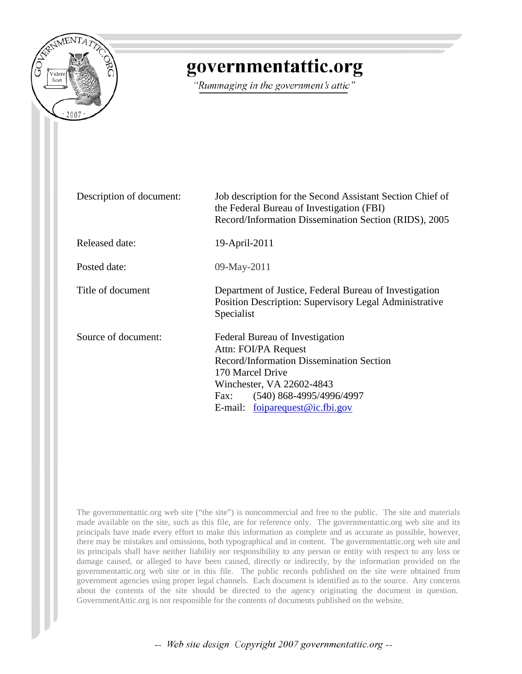

# governmentattic.org

"Rummaging in the government's attic"

| Description of document: | Job description for the Second Assistant Section Chief of<br>the Federal Bureau of Investigation (FBI)<br>Record/Information Dissemination Section (RIDS), 2005                                                               |  |  |  |  |  |
|--------------------------|-------------------------------------------------------------------------------------------------------------------------------------------------------------------------------------------------------------------------------|--|--|--|--|--|
| Released date:           | 19-April-2011                                                                                                                                                                                                                 |  |  |  |  |  |
| Posted date:             | 09-May-2011                                                                                                                                                                                                                   |  |  |  |  |  |
| Title of document        | Department of Justice, Federal Bureau of Investigation<br>Position Description: Supervisory Legal Administrative<br>Specialist                                                                                                |  |  |  |  |  |
| Source of document:      | Federal Bureau of Investigation<br>Attn: FOI/PA Request<br>Record/Information Dissemination Section<br>170 Marcel Drive<br>Winchester, VA 22602-4843<br>$(540)$ 868-4995/4996/4997<br>Fax:<br>E-mail: foiparequest@ic.fbi.gov |  |  |  |  |  |

The governmentattic.org web site ("the site") is noncommercial and free to the public. The site and materials made available on the site, such as this file, are for reference only. The governmentattic.org web site and its principals have made every effort to make this information as complete and as accurate as possible, however, there may be mistakes and omissions, both typographical and in content. The governmentattic.org web site and its principals shall have neither liability nor responsibility to any person or entity with respect to any loss or damage caused, or alleged to have been caused, directly or indirectly, by the information provided on the governmentattic.org web site or in this file. The public records published on the site were obtained from government agencies using proper legal channels. Each document is identified as to the source. Any concerns about the contents of the site should be directed to the agency originating the document in question. GovernmentAttic.org is not responsible for the contents of documents published on the website.

-- Web site design Copyright 2007 governmentattic.org --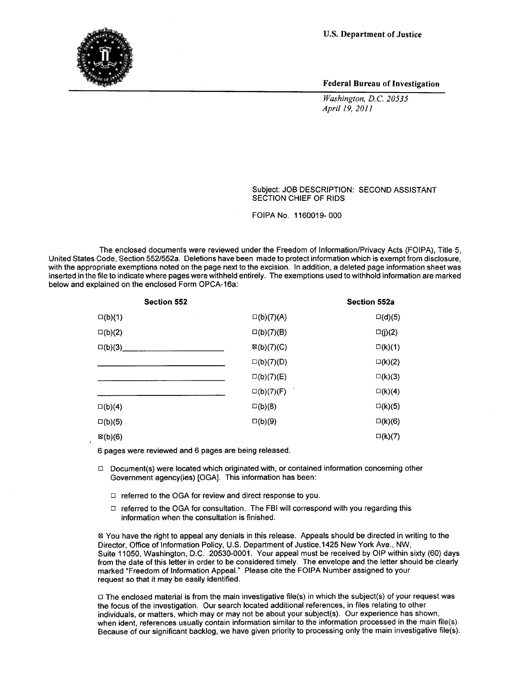U.S. Department of Justice



Federal Bureau of Investigation

*Washington, D.C. 20535 Apri/19, 2011* 

Subject: JOB DESCRIPTION: SECOND ASSISTANT SECTION CHIEF OF RIDS

FOIPA No. 1160019-000

The enclosed documents were reviewed under the Freedom of Information/Privacy Acts (FOIPA), Title 5, United States Code, Section 552/552a. Deletions have been made to protect information which is exempt from disclosure, with the appropriate exemptions noted on the page next to the excision. In addition, a deleted page information sheet was inserted in the file to indicate where pages were withheld entirely. The exemptions used to withhold information are marked below and explained on the enclosed Form OPCA-16a:

| <b>Section 552</b> |                       | Section 552a     |
|--------------------|-----------------------|------------------|
| $\square(b)(1)$    | $\square(b)(7)(A)$    | $\square$ (d)(5) |
| $\square(b)(2)$    | $\square(b)(7)(B)$    | $\square(j)(2)$  |
| $\square(b)(3)$    | $\boxtimes$ (b)(7)(C) | $\square$ (k)(1) |
|                    | $\square(b)(7)(D)$    | $\square(k)(2)$  |
|                    | $\square(b)(7)(E)$    | $\square$ (k)(3) |
|                    | $\square(b)(7)(F)$    | $\square$ (k)(4) |
| $\square(b)(4)$    | $\square(b)(8)$       | $\square(k)(5)$  |
| $\square(b)(5)$    | $\square(b)(9)$       | $\square$ (k)(6) |
| $\boxtimes$ (b)(6) |                       | $\square(k)(7)$  |

6 pages were reviewed and 6 pages are being released.

- $\Box$  Document(s) were located which originated with, or contained information concerning other Government agency(ies) [OGA]. This information has been:
	- $\Box$  referred to the OGA for review and direct response to you.
	- $\Box$  referred to the OGA for consultation. The FBI will correspond with you regarding this information when the consultation is finished.

~You have the right to appeal any denials in this release. Appeals should be directed in writing to the Director, Office of Information Policy, U.S. Department of Justice, 1425 New York Ave., NW, Suite 11050, Washington, D.C. 20530-0001. Your appeal must be received by OIP within sixty (60) days from the date of this letter in order to be considered timely. The envelope and the letter should be clearly marked "Freedom of Information Appeal." Please cite the FOIPA Number assigned to your request so that it may be easily identified.

 $\Box$  The enclosed material is from the main investigative file(s) in which the subject(s) of your request was the focus of the investigation. Our search located additional references, in files relating to other individuals, or matters, which may or may not be about your subject(s). Our experience has shown, when ident, references usually contain information similar to the information processed in the main file(s). Because of our significant backlog, we have given priority to processing only the main investigative file(s).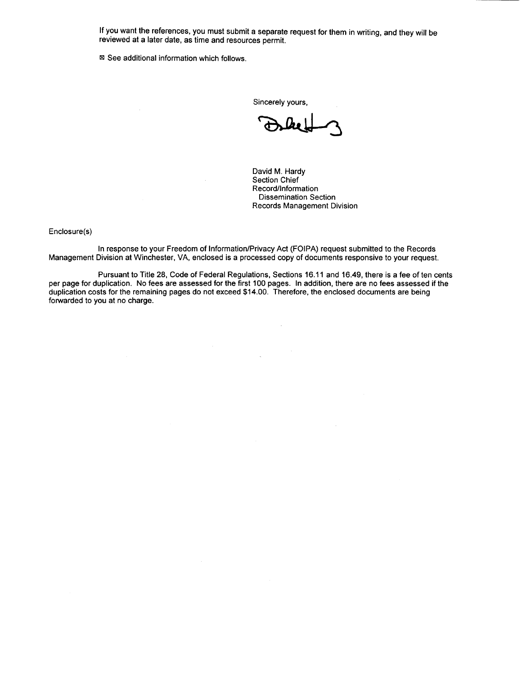If you want the references, you must submit a separate request for them in writing, and they will be reviewed at a later date, as time and resources permit.

■ See additional information which follows.

Sincerely yours,

David M. Hardy Section Chief Record/Information Dissemination Section Records Management Division

Enclosure(s)

In response to your Freedom of Information/Privacy Act (FOIPA) request submitted to the Records Management Division at Winchester, VA, enclosed is a processed copy of documents responsive to your request.

Pursuant to Title 28, Code of Federal Regulations, Sections 16.11 and 16.49, there is a fee of ten cents per page for duplication. No fees are assessed for the first 100 pages. In addition, there are no fees assessed if the duplication costs for the remaining pages do not exceed \$14.00. Therefore, the enclosed documents are being forwarded to you at no charge.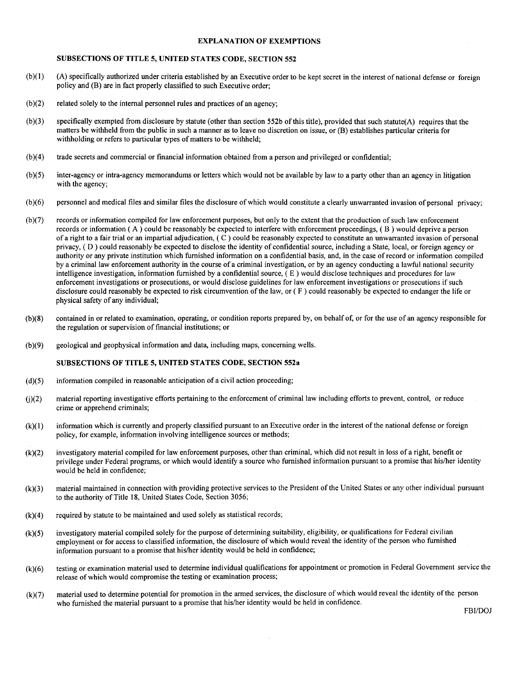#### EXPLANATION OF EXEMPTIONS

#### SUBSECTIONS OF TITLE 5, UNITED STATES CODE, SECTION 552

- (b )(I) (A) specifically authorized under criteria established by an Executive order to be kept secret in the interest of national defense or foreign policy and (B) are in fact properly classified to such Executive order;
- $(b)(2)$  related solely to the internal personnel rules and practices of an agency;
- (b)(3) specifically exempted from disclosure by statute (other than section 552b of this title), provided that such statute(A) requires that the matters be withheld from the public in such a manner as to leave no discretion on issue, or (B) establishes particular criteria for withholding or refers to particular types of matters to be withheld;
- (b)(4) trade secrets and commercial or financial information obtained from a person and privileged or confidential;
- (b)(5) inter-agency or intra-agency memorandums or letters which would not be available by law to a party other than an agency in litigation with the agency;
- (b)(6) personnel and medical files and similar files the disclosure of which would constitute a clearly unwarranted invasion of personal privacy;
- (b )(7) records or information compiled for law enforcement purposes, but only to the extent that the production of such law enforcement records or information ( A ) could be reasonably be expected to interfere with enforcement proceedings, ( B ) would deprive a person of a right to a fair trial or an impartial adjudication,  $(C)$  could be reasonably expected to constitute an unwarranted invasion of personal privacy, (D) could reasonably be expected to disclose the identity of confidential source, including a State, local, or foreign agency or authority or any private institution which furnished information on a confidential basis, and, in the case of record or information compiled by a criminal law enforcement authority in the course of a criminal investigation, or by an agency conducting a lawful national security intelligence investigation, information furnished by a confidential source,  $(E)$  would disclose techniques and procedures for law enforcement investigations or prosecutions, or would disclose guidelines for law enforcement investigations or prosecutions if such disclosure could reasonably be expected to risk circumvention of the law, or (F) could reasonably be expected to endanger the life or physical safety of any individual;
- (b )(8) contained in or related to examination, operating, or condition reports prepared by, on behalf of, or for the use of an agency responsible for the regulation or supervision of financial institutions; or
- (b )(9) geological and geophysical information and data, including maps, concerning wells.

#### SUBSECTIONS OF TITLE 5, UNITED STATES CODE, SECTION 552a

- $(d)(5)$  information compiled in reasonable anticipation of a civil action proceeding;
- U)(2) material reporting investigative efforts pertaining to the enforcement of criminal law including efforts to prevent, control, or reduce crime or apprehend criminals;
- (k)(l) information which is currently and properly classified pursuant to an Executive order in the interest of the national defense or foreign policy, for example, information involving intelligence sources or methods;
- (k)(2) investigatory material compiled for law enforcement purposes, other than criminal, which did not result in loss of a right, benefit or privilege under Federal programs, or which would identify a source who furnished information pursuant to a promise that his/her identity would be held in confidence;
- (k)(3) material maintained in connection with providing protective services to the President of the United States or any other individual pursuant to the authority of Title 18, United States Code, Section 3056;
- $(k)(4)$  required by statute to be maintained and used solely as statistical records;
- (k)(5) investigatory material compiled solely for the purpose of determining suitability, eligibility, or qualifications for Federal civilian employment or for access to classified information, the disclosure of which would reveal the identity of the person who furnished information pursuant to a promise that his/her identity would be held in confidence;
- (k)(6) testing or examination material used to determine individual qualifications for appointment or promotion in Federal Government service the release of which would compromise the testing or examination process;
- (k)(7) material used to determine potential for promotion in the armed services, the disclosure of which would reveal the identity of the person who furnished the material pursuant to a promise that his/her identity would be held in confidence.

FBI/DOJ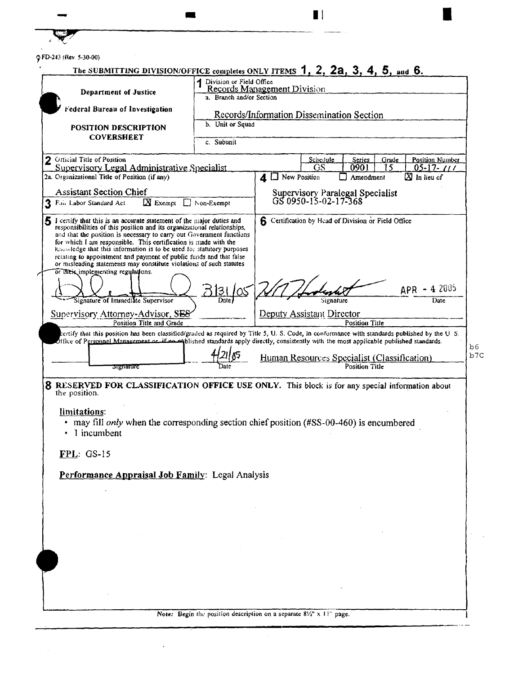| GFD-243 (Rev. 5-30-00)                                                                                                                                                                                                                                                                                                        |                                                                                                                                                   |  |                                                          |                                           |       |                                           |  |
|-------------------------------------------------------------------------------------------------------------------------------------------------------------------------------------------------------------------------------------------------------------------------------------------------------------------------------|---------------------------------------------------------------------------------------------------------------------------------------------------|--|----------------------------------------------------------|-------------------------------------------|-------|-------------------------------------------|--|
|                                                                                                                                                                                                                                                                                                                               | The SUBMITTING DIVISION/OFFICE completes ONLY ITEMS 1, 2, 2a, 3, 4, 5, and 6.<br>1 Division or Field Office<br><b>Records Management Division</b> |  |                                                          |                                           |       |                                           |  |
| Department of Justice                                                                                                                                                                                                                                                                                                         | a. Branch and/or Section                                                                                                                          |  |                                                          |                                           |       |                                           |  |
| Federal Bureau of Investigation                                                                                                                                                                                                                                                                                               |                                                                                                                                                   |  |                                                          | Records/Information Dissemination Section |       |                                           |  |
| <b>POSITION DESCRIPTION</b>                                                                                                                                                                                                                                                                                                   | b. Unit or Squad                                                                                                                                  |  |                                                          |                                           |       |                                           |  |
| <b>COVERSHEET</b>                                                                                                                                                                                                                                                                                                             | c. Subunit                                                                                                                                        |  |                                                          |                                           |       |                                           |  |
| Official Title of Position                                                                                                                                                                                                                                                                                                    |                                                                                                                                                   |  | Schedule                                                 | Series                                    | Grade | <b>Position Number</b>                    |  |
| Supervisory Legal Administrative Specialist<br>2a. Organizational Title of Position (if any)                                                                                                                                                                                                                                  |                                                                                                                                                   |  | GS<br>$\mathbf 1$ $\Box$ New Position                    | 0901<br>Amendment                         | 15    | $05 - 17 - 111$<br>$\boxtimes$ In lieu of |  |
|                                                                                                                                                                                                                                                                                                                               |                                                                                                                                                   |  |                                                          |                                           |       |                                           |  |
| <b>Assistant Section Chief</b><br>$\mathbf N$ Exempt<br>Fair Labor Standard Act                                                                                                                                                                                                                                               | $\Box$ Non-Exempt                                                                                                                                 |  | Supervisory Paralegal Specialist<br>GS 0950-15-02-17-368 |                                           |       |                                           |  |
|                                                                                                                                                                                                                                                                                                                               |                                                                                                                                                   |  |                                                          |                                           |       |                                           |  |
| 5 I certify that this is an accurate statement of the major duties and<br>responsibilities of this position and its organizational relationships,                                                                                                                                                                             |                                                                                                                                                   |  | 6 Certification by Head of Division or Field Office      |                                           |       |                                           |  |
| and that the position is necessary to carry out Government functions<br>for which I am responsible. This certification is made with the                                                                                                                                                                                       |                                                                                                                                                   |  |                                                          |                                           |       |                                           |  |
| knowledge that this information is to be used for statutory purposes<br>relating to appointment and payment of public funds and that false                                                                                                                                                                                    |                                                                                                                                                   |  |                                                          |                                           |       |                                           |  |
| or misleading statements may constitute violations of such statutes<br>or their implementing regulations.                                                                                                                                                                                                                     |                                                                                                                                                   |  |                                                          |                                           |       |                                           |  |
|                                                                                                                                                                                                                                                                                                                               | <u> 2131/05</u>                                                                                                                                   |  |                                                          |                                           |       | -42005<br>APR-                            |  |
| Signature of Immediate Supervisor                                                                                                                                                                                                                                                                                             |                                                                                                                                                   |  |                                                          | Signature                                 |       | Date                                      |  |
| Supervisory Attorney-Advisor, SES                                                                                                                                                                                                                                                                                             |                                                                                                                                                   |  | Deputy Assistant Director                                |                                           |       |                                           |  |
| Position Title and Grade                                                                                                                                                                                                                                                                                                      |                                                                                                                                                   |  |                                                          | Position Title                            |       |                                           |  |
|                                                                                                                                                                                                                                                                                                                               |                                                                                                                                                   |  |                                                          |                                           |       |                                           |  |
| certify that this position has been classified/graded as required by Title 5, U.S. Code, in conformance with standards published by the U.S.                                                                                                                                                                                  |                                                                                                                                                   |  |                                                          |                                           |       |                                           |  |
|                                                                                                                                                                                                                                                                                                                               |                                                                                                                                                   |  | Human Resources Specialist (Classification)              |                                           |       |                                           |  |
| <b>Signature</b>                                                                                                                                                                                                                                                                                                              |                                                                                                                                                   |  |                                                          | Position Title                            |       |                                           |  |
|                                                                                                                                                                                                                                                                                                                               |                                                                                                                                                   |  |                                                          |                                           |       |                                           |  |
|                                                                                                                                                                                                                                                                                                                               |                                                                                                                                                   |  |                                                          |                                           |       |                                           |  |
| limitations:                                                                                                                                                                                                                                                                                                                  |                                                                                                                                                   |  |                                                          |                                           |       |                                           |  |
| • may fill only when the corresponding section chief position (#SS-00-460) is encumbered                                                                                                                                                                                                                                      |                                                                                                                                                   |  |                                                          |                                           |       |                                           |  |
| 1 incumbent                                                                                                                                                                                                                                                                                                                   |                                                                                                                                                   |  |                                                          |                                           |       |                                           |  |
|                                                                                                                                                                                                                                                                                                                               |                                                                                                                                                   |  |                                                          |                                           |       |                                           |  |
|                                                                                                                                                                                                                                                                                                                               |                                                                                                                                                   |  |                                                          |                                           |       |                                           |  |
|                                                                                                                                                                                                                                                                                                                               |                                                                                                                                                   |  |                                                          |                                           |       |                                           |  |
|                                                                                                                                                                                                                                                                                                                               |                                                                                                                                                   |  |                                                          |                                           |       |                                           |  |
|                                                                                                                                                                                                                                                                                                                               |                                                                                                                                                   |  |                                                          |                                           |       |                                           |  |
|                                                                                                                                                                                                                                                                                                                               |                                                                                                                                                   |  |                                                          |                                           |       |                                           |  |
|                                                                                                                                                                                                                                                                                                                               |                                                                                                                                                   |  |                                                          |                                           |       |                                           |  |
|                                                                                                                                                                                                                                                                                                                               |                                                                                                                                                   |  |                                                          |                                           |       |                                           |  |
| fifice of Personnel Management or if no majblished standards apply directly, consistently with the most applicable published standards.<br>8 RESERVED FOR CLASSIFICATION OFFICE USE ONLY. This block is for any special information about<br>the position.<br>$FPL:GS-15$<br>Performance Appraisal Job Family: Legal Analysis |                                                                                                                                                   |  |                                                          |                                           |       |                                           |  |

 $\ddot{\phantom{0}}$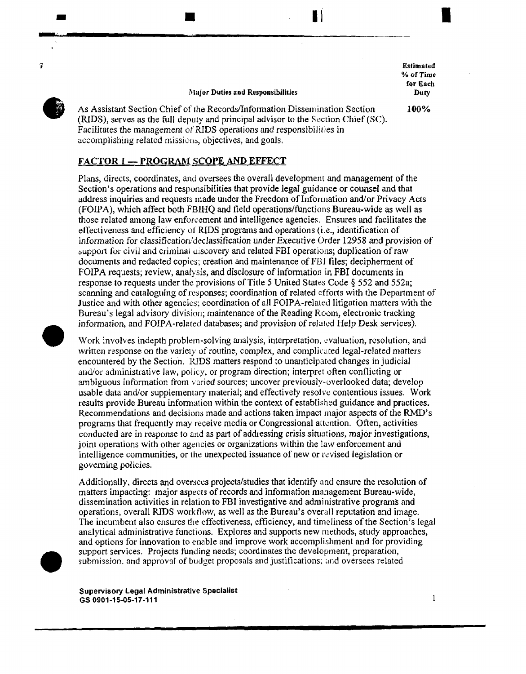Estimated %of Time for Each Duty

I

100%

### Major Duties and Responsibilities

 $\blacksquare$ 

 $\bullet$ As Assistant Section Chief of rhe Records/Infonnation Dissemination Section (RIDS), serves as the full deputy and principal advisor to the Section Chief  $SC$ ). Facilitates the management of RIDS operations and responsibilities in accomplishing related missions, objectives, and goals.

## FACTOR 1-PROGRAM SCOPE AND EFFECT

-

7

Plans, directs, coordinates, and oversees the overall development and management of the Section's operations and responsibilities that provide legal guidance or counsel and that address inquiries and requesrs made under the Freedom of Information and/or Privacy Acts (FOIP A), which affect both FBIHQ and field operations/functions Bureau-wide as well as those related among law enforcement and intelligence agencies. Ensures and facilitates the etfectiveness and efficiency of RIDS programs and operations (i.e., identification of information for classification/declassification under Executive Order 12958 and provision of support for civil and criminal uiscovery and related FBI operations; duplication of raw documents and redacted copies; creation and maintenance ofFI3I files; decipherment of FOIPA requests; review, analysis, and disclosure of information in FBI documents in response to requests under the provisions of Title *5* United States Code § 552 and 552a; scanning and cataloguing of responses; coordination of related efforts with the Department of Justice and with other agencies; coordination of all FOIPA-related litigation matters with the Bureau's legal advisory division; maintenance of the Reading Room, electronic tracking information, and FOIPA-related databases; and provision of related Help Desk services).

• Work involves indepth problem-solving analysis, interpretation, evaluation, resolution, and written response on the variety of routine, complex, and complicated legal-related matters encountered by the Section. IUDS matters respond to unanticipated changes in judicial and/or administrative law, policy, or program direction; interpret often conflicting or ambiguous information from varied sources; uncover previously-overlooked data; develop usable data and/or supplementary material; and effectively resolve contentious issues. Work results provide Bureau information within the context of established guidance and practices. Recommendations and decisions made and actions taken impact major aspects of the RMD's programs that frequently may receive media or Congressional attention. Often, activities conducted are in response to and as part of addressing crisis situations, major investigations, joint operations with other agencies or organizations within the law enforcement and intelligence communities, or the unexpected issuance of new or revised legislation or governing policies.

Additionally, directs and oversees projects/studies that identify and ensure the resolution of matters impacting: major aspecrs of records and information management Bureau-wide, dissemination activities in relation to FBI investigative and administrative programs and operations, overall RIDS workflow, as well as the Bureau's overall reputation and image. The incumbent also ensures the effectiveness, efficiency, and timeliness of the Section's legal analytical administrative functions. Explores and supports new methods, study approaches, and options for innovation to enable and improve work accomplishment and for providing support services. Projects funding needs; coordinates the development, preparation, submission, and approval of budget proposals and justifications; and oversees related

Supervisory Legal Administrative Specialist GS 0901-15-05-17-111

•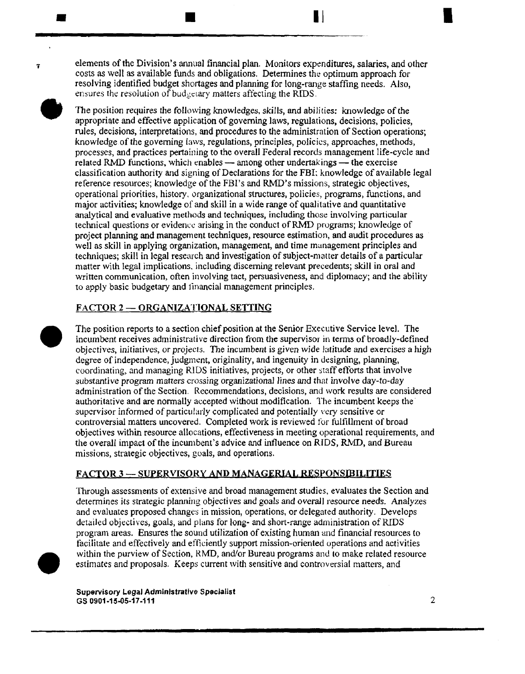elements of the Division's annual financial plan. Monitors expenditures, salaries, and other costs as well as available funds and obligations. Determines the optimum approach for resolving identified budget shortages and planning for long-range staffing needs. Also, ensures the resolution of budgetary matters affecting the RIDS.

 $\blacksquare$ 

 $\begin{array}{c}\n\bullet \\
\bullet \\
\bullet \\
\bullet \\
\bullet \\
\bullet \\
\bullet \\
\bullet\n\end{array}$ The position requires the following knowledges, skills, and abilities: knowledge of the appropriate and effective application of governing laws, regulations, decisions, policies, rules, decisions, interpretations, and procedures to the administration of Section operations; knowledge of the governing laws, regulations, principles, policies, approaches, methods, processes, and practices pertaining to the overall Federal records management life-cycle and related RMD functions, which enables  $-$  among other undertakings  $-$  the exercise classitication authority and signing of Declarations for the FBI: knowledge of available legal reference resources; knowledge ofthe FBI's and RMD's missions, strategic objectives, operational priorities, history, organizational structures, policies, programs, functions, and major activities; knowledge of and skill in a wide range of qualitative and quantitative analytical and evaluative methods and techniques, including those involving particular technical questions or evidence arising in the conduct of RMD programs; knowledge of project plarming and management techniques, resource estimation, and audit procedures as well as skill in applying organization, management, and time management principles and techniques; skill in legal research and investigation of subject-matter details of a particular matter with legal implications, including discerning relevant precedents; skill in oral and written communication, often involving tact, persuasiveness, and diplomacy; and the ability to apply basic budgetary and 1inancial management principles.

# FACTOR 2-ORGANIZATIONAL SETTING

•

 $\bullet$ The position reports to a section chief position at the Senior Executive Service level. The incumbent receives administrative direction from the supervisor in terms of broadly-defined objectives, initiatives, or projects. The incumbent is given wide latitude and exercises a high degree of independence, judgment, originality, and ingenuity in designing, planning, coordinating, and managing RIDS initiatives, projects, or other staff efforts that involve substantive program matters crossing organizational lines *and* that involve day-to-day administration of the Section. Recommendations, decisions, and work results are considered authoritative and are normally accepted without modification. The incumbent keeps the supervisor informed of particularly complicated and potentially very sensitive or controversial matters uncovered. Completed work is reviewed for fulfillment of broad objectives within resource allocations, effectiveness in meeting operational requirements, and the overall impact of the incumbent's advice and influence on RIDS, RMD, and Bureau missions, strategic objectives, goals, and operations.

## FACTOR 3 - SUPERVISORY AND MANAGERIAL RESPONSIBILITIES

1brough assessments of extensive and broad management studies, evaluates the Section and determines its strategic planning objectives and goals and overall resource needs. Analyzes and evaluates proposed changes in mission, operations, or delegated authority. Develops detailed objectives, goals, and plans for long- and short-range administration of RIDS program areas. Ensures the sound utilization of existing human and financial resources to tacilitate and effectively and efficiently support mission-oriented operations and activities within the purview of Section, KMD, and/or Bureau programs and to make related resource estimates and proposals. Keeps current with sensitive and controversial matters, and

• Supervisory Legal Administrative Specialist GS 0901-15-05-17-111 2

I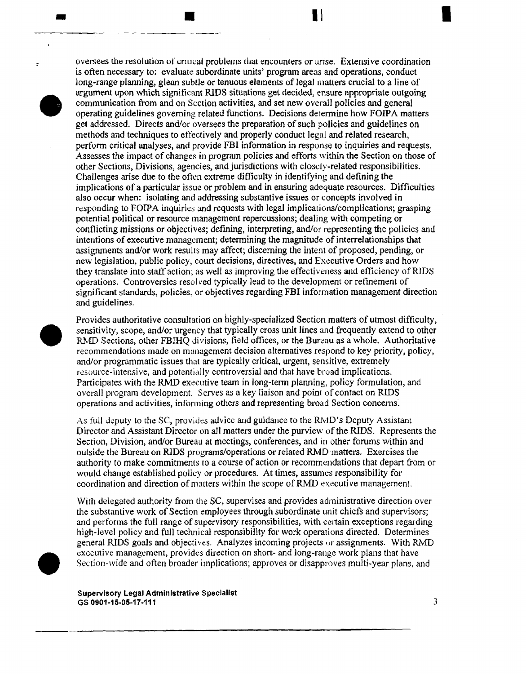

•

oversees the resolution of cnucal problems that encounters or arise. Extensive coordination is often necessary to: evaluate subordinate units' program areas and operations, conduct long-range planning, glean subtle or tenuous elements of legal matters crucial to a line of argument upon which significant RIDS situations get decided, ensure appropriate outgoing communication from and on Section activities, and set new overall policies and general operating guidelines governing related functions. Decisions determine how FOIP A matters get addressed. Directs and/or oversees the preparation of such policies and guidelines on methods and teclmiques to effectively and properly conduct legal and related research, perform critical analyses, and provide FBI infonnation in response to inquiries and requests. Assesses the impact of changes in program policies and efforts within the Section on those of other Sections, Divisions, agencies, and jurisdictions with closdy-related responsibilities. Challenges arise due to the often extreme difficulty in identifying and defining the implications of a particular issue or problem and in ensuring adequate resources. Difficulties also occur when: isolating and addressing substantive issues or concepts involved in responding to FOIPA inquiries and requests with legal implications/complications; grasping potential political or resource management repercussions; dealing with competing or conflicting missions or objectives; defming, interpreting, and/or representing the policies and intentions of executive management; detennining the magnitude of interrelationships that assigrunents and/or work results may affect; discerning the intent of proposed, pending, or new legis1ation, public policy, court decisions, directives, and Executive Orders and how they translate into staff action; as well as improving the effectiveness and efficiency of RIDS operations. Controversies resolved typically lead to the development or refinement of significant standards, policies, or objectives regarding FBI information management direction and guidelines.

 $\blacksquare$ 

• Provides authoritative consultation on highly-specialized Section matters of utmost difficulty, sensitivity, scope, and/or urgency that typically cross unit lines and frequently extend to other RMD Sections, other FBIHQ divisions, field offices, or the Bureau as a whole. Authoritative recommendations made on management decision alternatives respond to key priority, policy, and/or programmatic issues that are typically critical, urgent, sensitive, extremely resource-intensive, and potentially controversial and that have broad implications. Participates with the RMD executive team in long-term planning, policy formulation, and overall program development. Serves as a key liaison and point of contact on RIDS operations and activities, informing others and representing broad Section concerns~

As full deputy to the SC, provides advice and guidance to the RMD's Deputy Assistant Director and Assistant Director on all matters under the purview of the RIDS. Represents the Section, Division, and/or Bureau at meetings, conferences, and in other forums within and outside the Bureau on RIDS programs/operations or related RMD matters. Exercises the authority to make commitments ro a course of action or recommendations that depart from or would change established policy or procedures. At times, assumes responsibility for coordination and direction of matters within the scope ofRMD executive management.

With delegated authority from the SC, supervises and provides administrative direction over the substantive work of Section employees through subordinate unit chiefs and supervisors; and performs the full range of supervisory responsibilities, with certain exceptions regarding high-level policy and full technical responsibility for work operations directed. Determines general RIDS goals and objectives. Analyzes incoming projects or assignments. With RMD executive management, provides direction on short- and long-range work plans that have Section-wide and often broader implications; approves or disapproves multi-year plans, and

Supervisory Legal Administrative Specialist GS 0901-15-05-17-111  $\overline{3}$ 

I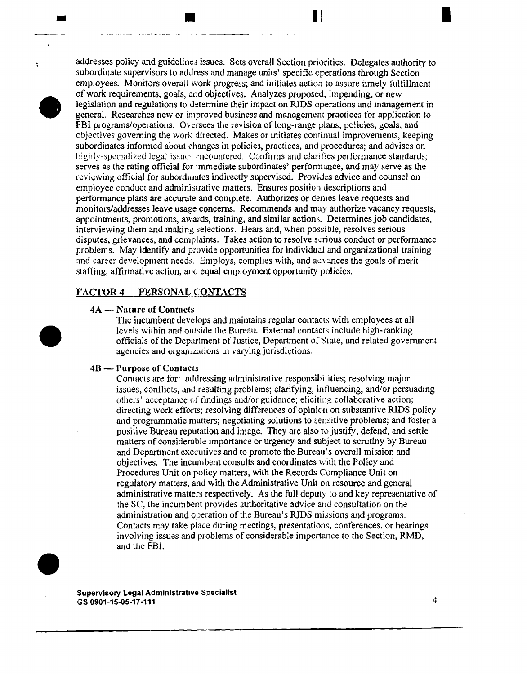

÷

•

**-**

addresses policy and guidelines issues. Sets overall Section priorities. Delegates authority to subordinate supervisors to address and manage units' specific operations through Section employees. Monitors overall work progress; and initiates action to assure timely fulfillment of work requirements, goals, and objectives. Analyzes proposed, impending, or new legislation and regulations to determine their impact on RJDS operations and management in general. Researches new or improved business and management practices for application to FBI programs/operations. Oversees the revision of long-range plans, policies, goals, and objectives governing the work directed. Makes or initiates conrinual improvements, keeping subordinates informed about changes in policies, practices, and procedures; and advises on highly-specialized legal issues encountered. Confirms and clarifies performance standards; serves as the rating official for immediate subordinates' perfonnance, and may serve as the reviewing official for subordinates indirectly supervised. Provides advice and counsel on employee conduct and administrative matters. Ensures position descriptions and performance plans are accurate and complete. Authorizes or denies leave requests and monitors/addresses leave usage concerns. Recommends and may authorize vacancy requests, appointments, promotions, awards, training, and similar actions. Determines job candidates, interviewing them and making selections. Hears and, when possible, resolves serious disputes, grievances, and complaints. Takes action to resolve serious conduct or performance problems. May identify and provide opportunities for individual and organizational training and career development needs. Employs, complies with, and advances the goals of merit staffing, affirmative action, and equal employment opportunity policies.

## FACTOR 4-PERSONAL CONTACTS

**.**<br>....

### 4A - Nature of Contacts

The incumbent develops and maintains regular contacts with employees at all levels within and outside the Bureau. External contacts include high-ranking officials of the Department of Justice, Department of State, and related government agencies and organizations in varying jurisdictions.

#### 4B - Purpose of Contacts

Contacts are for: addressing administrative responsibilities; resolving major issues, conflicts, and resulting problems; clarifying, influencing, and/or persuading others' acceptance of findings and/or guidance; eliciting collaborative action; directing work efforts; resolving differences of opinion on substantive RIDS policy and programmatic matters; negotiating solutions to sensitive problems; and foster a positive Bureau reputation and image. They are also to justify, defend, and settle matters of considerable importance or urgency and subject to scrutiny by Bureau and Department executives and to promote the Bureau's overall mission and objectives. The incumbent consults and coordinates with the Policy and Procedures Unit on policy matters, with the Records Compliance *Unit* on regulatory matters, and with the Administrative Unit on resource and general administrative matters respectively. As the full deputy to and key representative of the SC, the incumbent provides authoritative advice and consultation on the administration and operation of the Bureau's RIDS missions and programs. Contacts may take place during meetings, presentations, conferences, or hearings involving issues and problems of considerable importance to the Section, RMD, and the FBI.



I